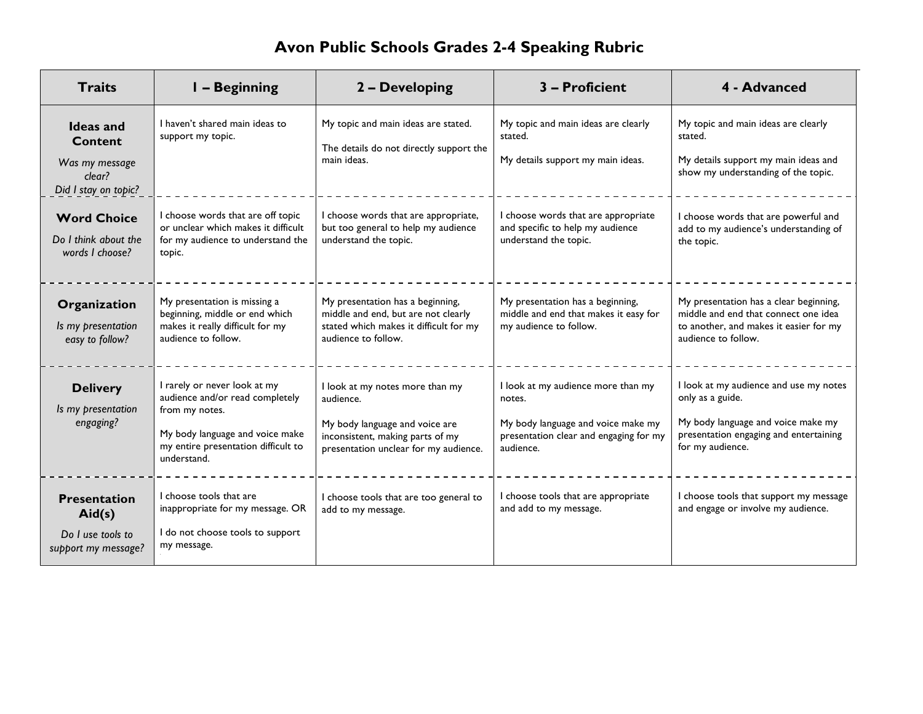# **Avon Public Schools Grades 2-4 Speaking Rubric**

| <b>Traits</b>                                                                          | - Beginning                                                                                                                                                                | 2 - Developing                                                                                                                                              | 3 - Proficient                                                                                                                            | 4 - Advanced                                                                                                                                                   |
|----------------------------------------------------------------------------------------|----------------------------------------------------------------------------------------------------------------------------------------------------------------------------|-------------------------------------------------------------------------------------------------------------------------------------------------------------|-------------------------------------------------------------------------------------------------------------------------------------------|----------------------------------------------------------------------------------------------------------------------------------------------------------------|
| <b>Ideas</b> and<br><b>Content</b><br>Was my message<br>clear?<br>Did I stay on topic? | I haven't shared main ideas to<br>support my topic.                                                                                                                        | My topic and main ideas are stated.<br>The details do not directly support the<br>main ideas.                                                               | My topic and main ideas are clearly<br>stated.<br>My details support my main ideas.                                                       | My topic and main ideas are clearly<br>stated.<br>My details support my main ideas and<br>show my understanding of the topic.                                  |
| <b>Word Choice</b><br>Do I think about the<br>words I choose?                          | I choose words that are off topic<br>or unclear which makes it difficult<br>for my audience to understand the<br>topic.                                                    | I choose words that are appropriate,<br>but too general to help my audience<br>understand the topic.                                                        | choose words that are appropriate<br>and specific to help my audience<br>understand the topic.                                            | I choose words that are powerful and<br>add to my audience's understanding of<br>the topic.                                                                    |
| Organization<br>Is my presentation<br>easy to follow?                                  | My presentation is missing a<br>beginning, middle or end which<br>makes it really difficult for my<br>audience to follow.                                                  | My presentation has a beginning,<br>middle and end, but are not clearly<br>stated which makes it difficult for my<br>audience to follow.                    | My presentation has a beginning,<br>middle and end that makes it easy for<br>my audience to follow.                                       | My presentation has a clear beginning,<br>middle and end that connect one idea<br>to another, and makes it easier for my<br>audience to follow.                |
| <b>Delivery</b><br>Is my presentation<br>engaging?                                     | I rarely or never look at my<br>audience and/or read completely<br>from my notes.<br>My body language and voice make<br>my entire presentation difficult to<br>understand. | I look at my notes more than my<br>audience.<br>My body language and voice are<br>inconsistent, making parts of my<br>presentation unclear for my audience. | I look at my audience more than my<br>notes.<br>My body language and voice make my<br>presentation clear and engaging for my<br>audience. | I look at my audience and use my notes<br>only as a guide.<br>My body language and voice make my<br>presentation engaging and entertaining<br>for my audience. |
| <b>Presentation</b><br>Aid(s)<br>Do I use tools to<br>support my message?              | I choose tools that are<br>inappropriate for my message. OR<br>I do not choose tools to support<br>my message.                                                             | I choose tools that are too general to<br>add to my message.                                                                                                | I choose tools that are appropriate<br>and add to my message.                                                                             | I choose tools that support my message<br>and engage or involve my audience.                                                                                   |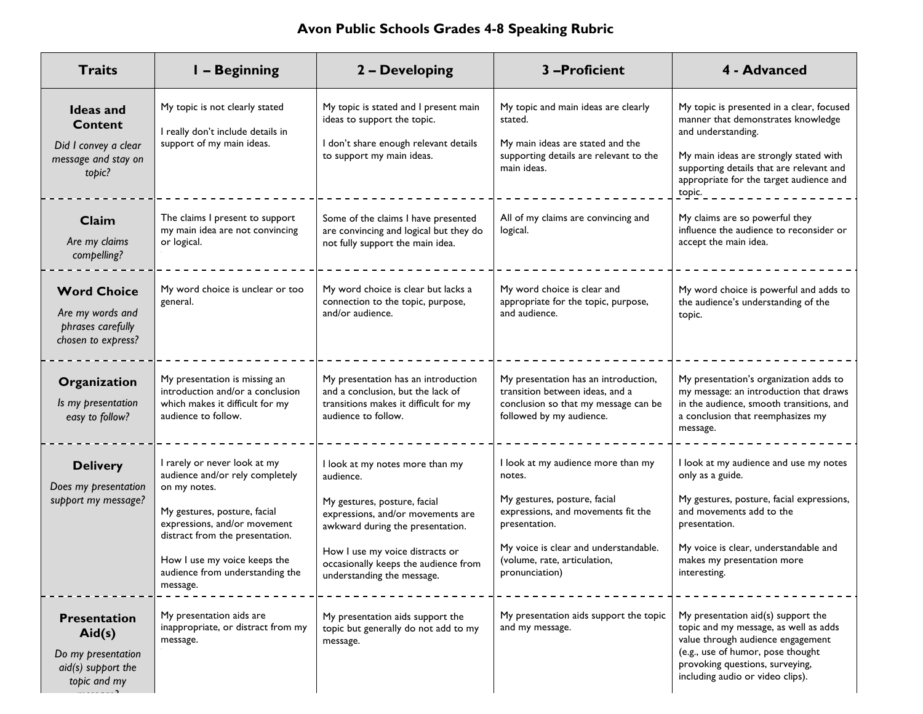### **Avon Public Schools Grades 4-8 Speaking Rubric**

| <b>Traits</b>                                                                               | <b>I-Beginning</b>                                                                                                                                                                                                                                                | 2 - Developing                                                                                                                                                                                                                                                 | 3-Proficient                                                                                                                                                                                                                   | 4 - Advanced                                                                                                                                                                                                                                     |
|---------------------------------------------------------------------------------------------|-------------------------------------------------------------------------------------------------------------------------------------------------------------------------------------------------------------------------------------------------------------------|----------------------------------------------------------------------------------------------------------------------------------------------------------------------------------------------------------------------------------------------------------------|--------------------------------------------------------------------------------------------------------------------------------------------------------------------------------------------------------------------------------|--------------------------------------------------------------------------------------------------------------------------------------------------------------------------------------------------------------------------------------------------|
| <b>Ideas and</b><br><b>Content</b><br>Did I convey a clear<br>message and stay on<br>topic? | My topic is not clearly stated<br>I really don't include details in<br>support of my main ideas.                                                                                                                                                                  | My topic is stated and I present main<br>ideas to support the topic.<br>I don't share enough relevant details<br>to support my main ideas.                                                                                                                     | My topic and main ideas are clearly<br>stated.<br>My main ideas are stated and the<br>supporting details are relevant to the<br>main ideas.                                                                                    | My topic is presented in a clear, focused<br>manner that demonstrates knowledge<br>and understanding.<br>My main ideas are strongly stated with<br>supporting details that are relevant and<br>appropriate for the target audience and<br>topic. |
| Claim<br>Are my claims<br>compelling?                                                       | The claims I present to support<br>my main idea are not convincing<br>or logical.                                                                                                                                                                                 | Some of the claims I have presented<br>are convincing and logical but they do<br>not fully support the main idea.                                                                                                                                              | All of my claims are convincing and<br>logical.                                                                                                                                                                                | My claims are so powerful they<br>influence the audience to reconsider or<br>accept the main idea.                                                                                                                                               |
| <b>Word Choice</b><br>Are my words and<br>phrases carefully<br>chosen to express?           | My word choice is unclear or too<br>general.                                                                                                                                                                                                                      | My word choice is clear but lacks a<br>connection to the topic, purpose,<br>and/or audience.                                                                                                                                                                   | My word choice is clear and<br>appropriate for the topic, purpose,<br>and audience.                                                                                                                                            | My word choice is powerful and adds to<br>the audience's understanding of the<br>topic.                                                                                                                                                          |
| Organization<br>Is my presentation<br>easy to follow?                                       | My presentation is missing an<br>introduction and/or a conclusion<br>which makes it difficult for my<br>audience to follow.                                                                                                                                       | My presentation has an introduction<br>and a conclusion, but the lack of<br>transitions makes it difficult for my<br>audience to follow.                                                                                                                       | My presentation has an introduction,<br>transition between ideas, and a<br>conclusion so that my message can be<br>followed by my audience.                                                                                    | My presentation's organization adds to<br>my message: an introduction that draws<br>in the audience, smooth transitions, and<br>a conclusion that reemphasizes my<br>message.                                                                    |
| <b>Delivery</b><br>Does my presentation<br>support my message?                              | I rarely or never look at my<br>audience and/or rely completely<br>on my notes.<br>My gestures, posture, facial<br>expressions, and/or movement<br>distract from the presentation.<br>How I use my voice keeps the<br>audience from understanding the<br>message. | I look at my notes more than my<br>audience.<br>My gestures, posture, facial<br>expressions, and/or movements are<br>awkward during the presentation.<br>How I use my voice distracts or<br>occasionally keeps the audience from<br>understanding the message. | I look at my audience more than my<br>notes.<br>My gestures, posture, facial<br>expressions, and movements fit the<br>presentation.<br>My voice is clear and understandable.<br>(volume, rate, articulation,<br>pronunciation) | I look at my audience and use my notes<br>only as a guide.<br>My gestures, posture, facial expressions,<br>and movements add to the<br>presentation.<br>My voice is clear, understandable and<br>makes my presentation more<br>interesting.      |
| <b>Presentation</b><br>Aid(s)<br>Do my presentation<br>aid(s) support the<br>topic and my   | My presentation aids are<br>inappropriate, or distract from my<br>message.                                                                                                                                                                                        | My presentation aids support the<br>topic but generally do not add to my<br>message.                                                                                                                                                                           | My presentation aids support the topic<br>and my message.                                                                                                                                                                      | My presentation $aid(s)$ support the<br>topic and my message, as well as adds<br>value through audience engagement<br>(e.g., use of humor, pose thought<br>provoking questions, surveying,<br>including audio or video clips).                   |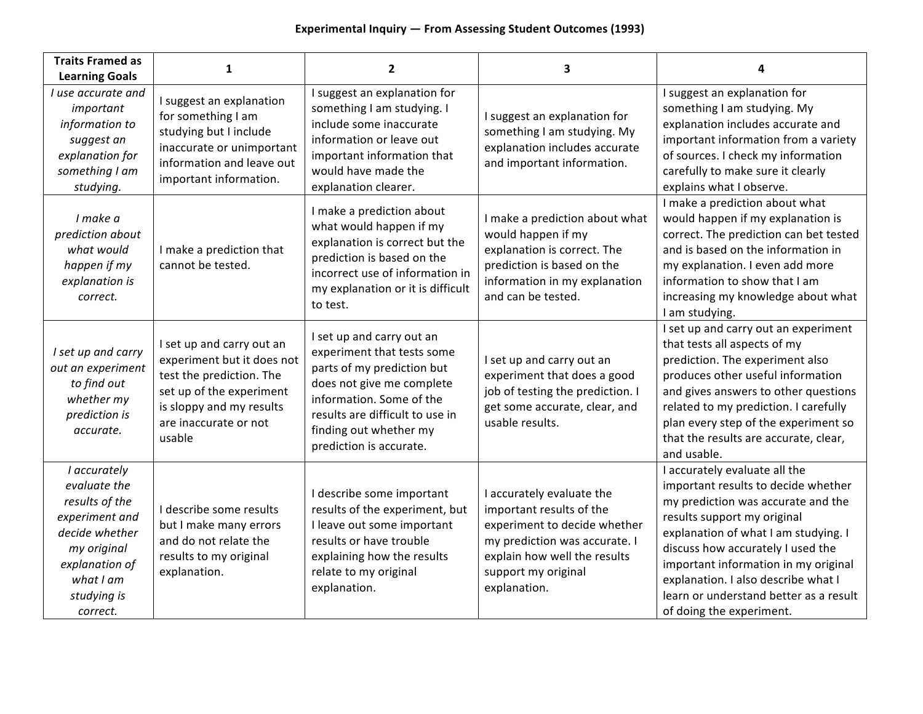| <b>Traits Framed as</b><br><b>Learning Goals</b>                                                                                                            | 1                                                                                                                                                                              | $\overline{2}$                                                                                                                                                                                                                         | 3                                                                                                                                                                                             | 4                                                                                                                                                                                                                                                                                                                                                                           |
|-------------------------------------------------------------------------------------------------------------------------------------------------------------|--------------------------------------------------------------------------------------------------------------------------------------------------------------------------------|----------------------------------------------------------------------------------------------------------------------------------------------------------------------------------------------------------------------------------------|-----------------------------------------------------------------------------------------------------------------------------------------------------------------------------------------------|-----------------------------------------------------------------------------------------------------------------------------------------------------------------------------------------------------------------------------------------------------------------------------------------------------------------------------------------------------------------------------|
| I use accurate and<br>important<br>information to<br>suggest an<br>explanation for<br>something I am<br>studying.                                           | I suggest an explanation<br>for something I am<br>studying but I include<br>inaccurate or unimportant<br>information and leave out<br>important information.                   | I suggest an explanation for<br>something I am studying. I<br>include some inaccurate<br>information or leave out<br>important information that<br>would have made the<br>explanation clearer.                                         | I suggest an explanation for<br>something I am studying. My<br>explanation includes accurate<br>and important information.                                                                    | I suggest an explanation for<br>something I am studying. My<br>explanation includes accurate and<br>important information from a variety<br>of sources. I check my information<br>carefully to make sure it clearly<br>explains what I observe.                                                                                                                             |
| I make a<br>prediction about<br>what would<br>happen if my<br>explanation is<br>correct.                                                                    | I make a prediction that<br>cannot be tested.                                                                                                                                  | I make a prediction about<br>what would happen if my<br>explanation is correct but the<br>prediction is based on the<br>incorrect use of information in<br>my explanation or it is difficult<br>to test.                               | I make a prediction about what<br>would happen if my<br>explanation is correct. The<br>prediction is based on the<br>information in my explanation<br>and can be tested.                      | I make a prediction about what<br>would happen if my explanation is<br>correct. The prediction can bet tested<br>and is based on the information in<br>my explanation. I even add more<br>information to show that I am<br>increasing my knowledge about what<br>I am studying.                                                                                             |
| I set up and carry<br>out an experiment<br>to find out<br>whether my<br>prediction is<br>accurate.                                                          | I set up and carry out an<br>experiment but it does not<br>test the prediction. The<br>set up of the experiment<br>is sloppy and my results<br>are inaccurate or not<br>usable | I set up and carry out an<br>experiment that tests some<br>parts of my prediction but<br>does not give me complete<br>information. Some of the<br>results are difficult to use in<br>finding out whether my<br>prediction is accurate. | I set up and carry out an<br>experiment that does a good<br>job of testing the prediction. I<br>get some accurate, clear, and<br>usable results.                                              | I set up and carry out an experiment<br>that tests all aspects of my<br>prediction. The experiment also<br>produces other useful information<br>and gives answers to other questions<br>related to my prediction. I carefully<br>plan every step of the experiment so<br>that the results are accurate, clear,<br>and usable.                                               |
| I accurately<br>evaluate the<br>results of the<br>experiment and<br>decide whether<br>my original<br>explanation of<br>what I am<br>studying is<br>correct. | I describe some results<br>but I make many errors<br>and do not relate the<br>results to my original<br>explanation.                                                           | I describe some important<br>results of the experiment, but<br>I leave out some important<br>results or have trouble<br>explaining how the results<br>relate to my original<br>explanation.                                            | I accurately evaluate the<br>important results of the<br>experiment to decide whether<br>my prediction was accurate. I<br>explain how well the results<br>support my original<br>explanation. | I accurately evaluate all the<br>important results to decide whether<br>my prediction was accurate and the<br>results support my original<br>explanation of what I am studying. I<br>discuss how accurately I used the<br>important information in my original<br>explanation. I also describe what I<br>learn or understand better as a result<br>of doing the experiment. |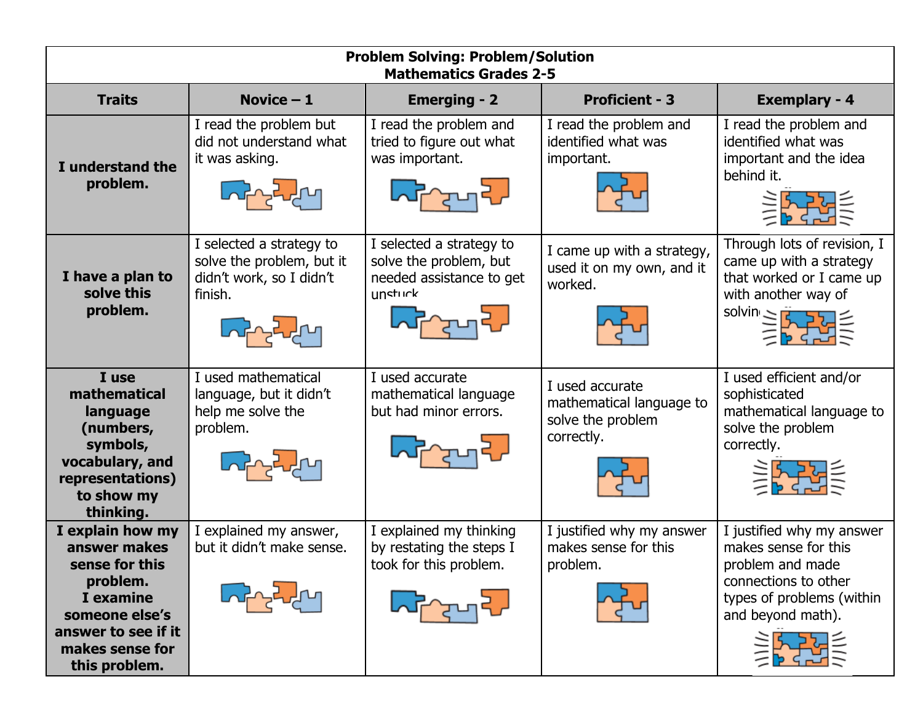| <b>Problem Solving: Problem/Solution</b><br><b>Mathematics Grades 2-5</b>                                                                                |                                                                                              |                                                                                                    |                                                                                |                                                                                                                                                                                                                                                                                                                 |  |  |
|----------------------------------------------------------------------------------------------------------------------------------------------------------|----------------------------------------------------------------------------------------------|----------------------------------------------------------------------------------------------------|--------------------------------------------------------------------------------|-----------------------------------------------------------------------------------------------------------------------------------------------------------------------------------------------------------------------------------------------------------------------------------------------------------------|--|--|
| <b>Traits</b>                                                                                                                                            | Novice $-1$                                                                                  | <b>Emerging - 2</b>                                                                                | <b>Proficient - 3</b>                                                          | <b>Exemplary - 4</b>                                                                                                                                                                                                                                                                                            |  |  |
| I understand the<br>problem.                                                                                                                             | I read the problem but<br>did not understand what<br>it was asking.                          | I read the problem and<br>tried to figure out what<br>was important.                               | I read the problem and<br>identified what was<br>important.                    | I read the problem and<br>identified what was<br>important and the idea<br>behind it.<br>美好美                                                                                                                                                                                                                    |  |  |
| I have a plan to<br>solve this<br>problem.                                                                                                               | I selected a strategy to<br>solve the problem, but it<br>didn't work, so I didn't<br>finish. | I selected a strategy to<br>solve the problem, but<br>needed assistance to get<br>unsturk<br>ᢉᡔᠳᢃ᠘ | I came up with a strategy,<br>used it on my own, and it<br>worked.             | Through lots of revision, I<br>came up with a strategy<br>that worked or I came up<br>with another way of<br>$\begin{array}{rcl} \text{solvin} & \geq & \frac{1}{2} & \frac{1}{2} & \frac{1}{2} \\ & & \geq & \frac{1}{2} & \frac{1}{2} & \frac{1}{2} \\ & & & \geq & \frac{1}{2} & \frac{1}{2} \\ \end{array}$ |  |  |
| I use<br>mathematical<br>language<br>(numbers,<br>symbols,<br>vocabulary, and<br>representations)<br>to show my<br>thinking.                             | I used mathematical<br>language, but it didn't<br>help me solve the<br>problem.              | I used accurate<br>mathematical language<br>but had minor errors.                                  | I used accurate<br>mathematical language to<br>solve the problem<br>correctly. | I used efficient and/or<br>sophisticated<br>mathematical language to<br>solve the problem<br>correctly.<br>美好学                                                                                                                                                                                                  |  |  |
| I explain how my<br>answer makes<br>sense for this<br>problem.<br>I examine<br>someone else's<br>answer to see if it<br>makes sense for<br>this problem. | I explained my answer,<br>but it didn't make sense.                                          | I explained my thinking<br>by restating the steps I<br>took for this problem.                      | I justified why my answer<br>makes sense for this<br>problem.                  | I justified why my answer<br>makes sense for this<br>problem and made<br>connections to other<br>types of problems (within<br>and beyond math).                                                                                                                                                                 |  |  |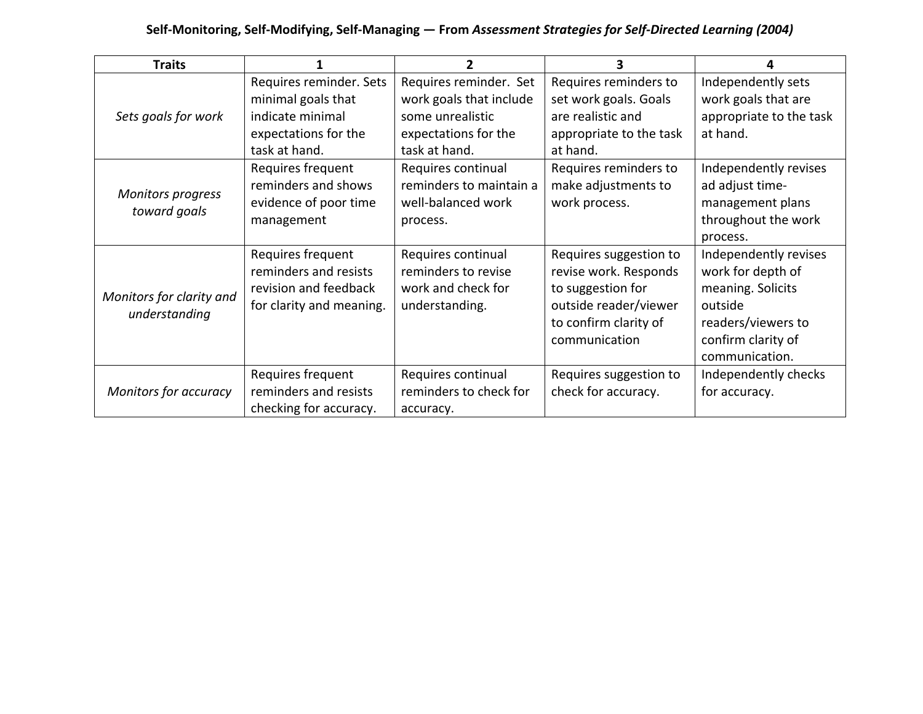#### **Self-Monitoring, Self-Modifying, Self-Managing — From** *Assessment Strategies for Self-Directed Learning (2004)*

| <b>Traits</b>                             | 1                                                                                                          | 2                                                                                                              | 3                                                                                                                                       | 4                                                                                                                                        |
|-------------------------------------------|------------------------------------------------------------------------------------------------------------|----------------------------------------------------------------------------------------------------------------|-----------------------------------------------------------------------------------------------------------------------------------------|------------------------------------------------------------------------------------------------------------------------------------------|
| Sets goals for work                       | Requires reminder. Sets<br>minimal goals that<br>indicate minimal<br>expectations for the<br>task at hand. | Requires reminder. Set<br>work goals that include<br>some unrealistic<br>expectations for the<br>task at hand. | Requires reminders to<br>set work goals. Goals<br>are realistic and<br>appropriate to the task<br>at hand.                              | Independently sets<br>work goals that are<br>appropriate to the task<br>at hand.                                                         |
| <b>Monitors progress</b><br>toward goals  | Requires frequent<br>reminders and shows<br>evidence of poor time<br>management                            | Requires continual<br>reminders to maintain a<br>well-balanced work<br>process.                                | Requires reminders to<br>make adjustments to<br>work process.                                                                           | Independently revises<br>ad adjust time-<br>management plans<br>throughout the work<br>process.                                          |
| Monitors for clarity and<br>understanding | Requires frequent<br>reminders and resists<br>revision and feedback<br>for clarity and meaning.            | Requires continual<br>reminders to revise<br>work and check for<br>understanding.                              | Requires suggestion to<br>revise work. Responds<br>to suggestion for<br>outside reader/viewer<br>to confirm clarity of<br>communication | Independently revises<br>work for depth of<br>meaning. Solicits<br>outside<br>readers/viewers to<br>confirm clarity of<br>communication. |
| Monitors for accuracy                     | Requires frequent<br>reminders and resists<br>checking for accuracy.                                       | Requires continual<br>reminders to check for<br>accuracy.                                                      | Requires suggestion to<br>check for accuracy.                                                                                           | Independently checks<br>for accuracy.                                                                                                    |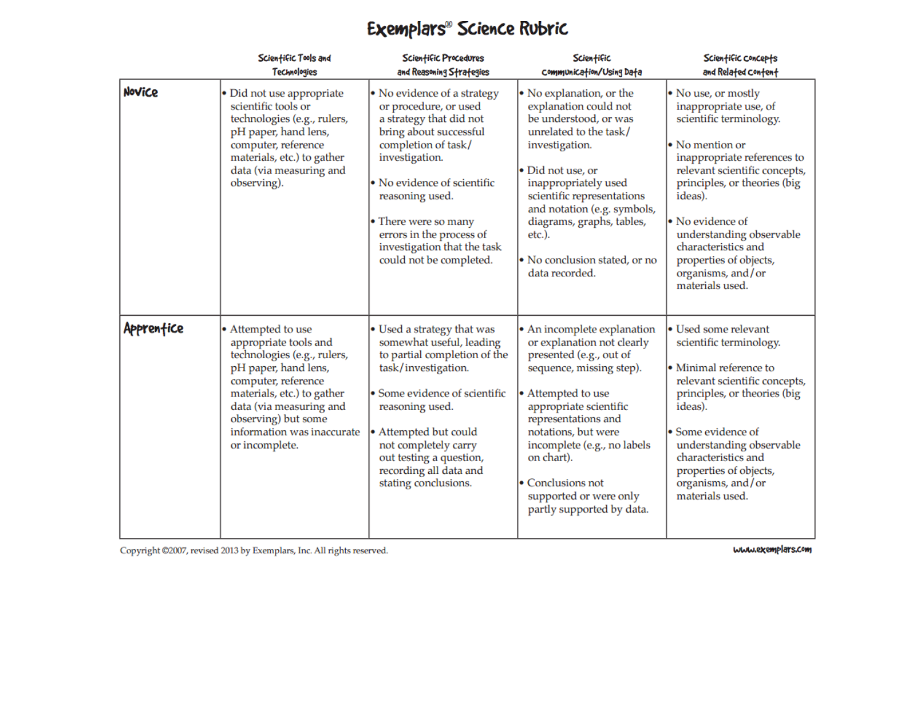## Exemplars<sup>®</sup> Science Rubric

|            | Scientific Tools and<br><b>Technologies</b>                                                                                                                                                                                                               | Scientific Procedures<br>and Reasoning Strategies                                                                                                                                                                                                                                                                  | Scientific<br>Communication/Using Data                                                                                                                                                                                                                                                                                                  | Scientific concepts<br>and Related Content                                                                                                                                                                                                                                                                                                     |
|------------|-----------------------------------------------------------------------------------------------------------------------------------------------------------------------------------------------------------------------------------------------------------|--------------------------------------------------------------------------------------------------------------------------------------------------------------------------------------------------------------------------------------------------------------------------------------------------------------------|-----------------------------------------------------------------------------------------------------------------------------------------------------------------------------------------------------------------------------------------------------------------------------------------------------------------------------------------|------------------------------------------------------------------------------------------------------------------------------------------------------------------------------------------------------------------------------------------------------------------------------------------------------------------------------------------------|
| Novice     | • Did not use appropriate<br>scientific tools or<br>technologies (e.g., rulers,<br>pH paper, hand lens,<br>computer, reference<br>materials, etc.) to gather<br>data (via measuring and<br>observing).                                                    | • No evidence of a strategy<br>or procedure, or used<br>a strategy that did not<br>bring about successful<br>completion of task/<br>investigation.<br>• No evidence of scientific<br>reasoning used.<br>• There were so many<br>errors in the process of<br>investigation that the task<br>could not be completed. | • No explanation, or the<br>explanation could not<br>be understood, or was<br>unrelated to the task/<br>investigation.<br>• Did not use, or<br>inappropriately used<br>scientific representations<br>and notation (e.g. symbols,<br>diagrams, graphs, tables,<br>etc.).<br>• No conclusion stated, or no<br>data recorded.              | • No use, or mostly<br>inappropriate use, of<br>scientific terminology.<br>• No mention or<br>inappropriate references to<br>relevant scientific concepts,<br>principles, or theories (big<br>ideas).<br>• No evidence of<br>understanding observable<br>characteristics and<br>properties of objects,<br>organisms, and/or<br>materials used. |
| Apprenfice | • Attempted to use<br>appropriate tools and<br>technologies (e.g., rulers,<br>pH paper, hand lens,<br>computer, reference<br>materials, etc.) to gather<br>data (via measuring and<br>observing) but some<br>information was inaccurate<br>or incomplete. | • Used a strategy that was<br>somewhat useful, leading<br>to partial completion of the<br>task/investigation.<br>• Some evidence of scientific<br>reasoning used.<br>• Attempted but could<br>not completely carry<br>out testing a question,<br>recording all data and<br>stating conclusions.                    | • An incomplete explanation<br>or explanation not clearly<br>presented (e.g., out of<br>sequence, missing step).<br>• Attempted to use<br>appropriate scientific<br>representations and<br>notations, but were<br>incomplete (e.g., no labels<br>on chart).<br>• Conclusions not<br>supported or were only<br>partly supported by data. | • Used some relevant<br>scientific terminology.<br>• Minimal reference to<br>relevant scientific concepts,<br>principles, or theories (big<br>ideas).<br>• Some evidence of<br>understanding observable<br>characteristics and<br>properties of objects,<br>organisms, and/or<br>materials used.                                               |

Copyright @2007, revised 2013 by Exemplars, Inc. All rights reserved.

www.exemplars.com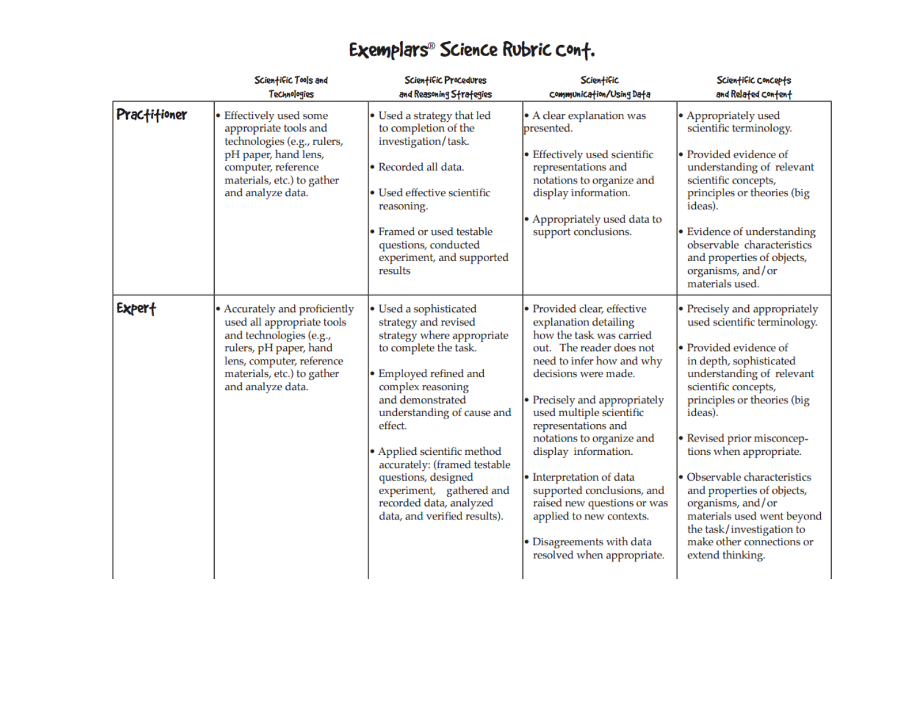|              | Scientific Tools and<br><b>Technologies</b>                                                                                                                                                      | Scientific Procedures<br>and Reasoning Strategies                                                                                                                                                                                                                                                                                                                                              | Scientific<br>Communication/Using Data                                                                                                                                                                                                                                                                                                                                                                                                                                                     | Scientific concepts<br>and Related Content                                                                                                                                                                                                                                                                                                                                                                                                                                |
|--------------|--------------------------------------------------------------------------------------------------------------------------------------------------------------------------------------------------|------------------------------------------------------------------------------------------------------------------------------------------------------------------------------------------------------------------------------------------------------------------------------------------------------------------------------------------------------------------------------------------------|--------------------------------------------------------------------------------------------------------------------------------------------------------------------------------------------------------------------------------------------------------------------------------------------------------------------------------------------------------------------------------------------------------------------------------------------------------------------------------------------|---------------------------------------------------------------------------------------------------------------------------------------------------------------------------------------------------------------------------------------------------------------------------------------------------------------------------------------------------------------------------------------------------------------------------------------------------------------------------|
| Practitioner | • Effectively used some<br>appropriate tools and<br>technologies (e.g., rulers,<br>pH paper, hand lens,<br>computer, reference<br>materials, etc.) to gather<br>and analyze data.                | • Used a strategy that led<br>to completion of the<br>investigation/task.<br>• Recorded all data.<br>• Used effective scientific<br>reasoning.<br>• Framed or used testable<br>questions, conducted<br>experiment, and supported<br>results                                                                                                                                                    | • A clear explanation was<br>presented.<br>• Effectively used scientific<br>representations and<br>notations to organize and<br>display information.<br>• Appropriately used data to<br>support conclusions.                                                                                                                                                                                                                                                                               | • Appropriately used<br>scientific terminology.<br>• Provided evidence of<br>understanding of relevant<br>scientific concepts,<br>principles or theories (big<br>ideas).<br>• Evidence of understanding<br>observable characteristics<br>and properties of objects,<br>organisms, and/or<br>materials used.                                                                                                                                                               |
| Expert       | • Accurately and proficiently<br>used all appropriate tools<br>and technologies (e.g.,<br>rulers, pH paper, hand<br>lens, computer, reference<br>materials, etc.) to gather<br>and analyze data. | • Used a sophisticated<br>strategy and revised<br>strategy where appropriate<br>to complete the task.<br>• Employed refined and<br>complex reasoning<br>and demonstrated<br>understanding of cause and<br>effect.<br>• Applied scientific method<br>accurately: (framed testable<br>questions, designed<br>experiment, gathered and<br>recorded data, analyzed<br>data, and verified results). | • Provided clear, effective<br>explanation detailing<br>how the task was carried<br>out. The reader does not<br>need to infer how and why<br>decisions were made.<br>• Precisely and appropriately<br>used multiple scientific<br>representations and<br>notations to organize and<br>display information.<br>• Interpretation of data<br>supported conclusions, and<br>raised new questions or was<br>applied to new contexts.<br>• Disagreements with data<br>resolved when appropriate. | • Precisely and appropriately<br>used scientific terminology.<br>• Provided evidence of<br>in depth, sophisticated<br>understanding of relevant<br>scientific concepts,<br>principles or theories (big<br>ideas).<br>• Revised prior misconcep-<br>tions when appropriate.<br>· Observable characteristics<br>and properties of objects,<br>organisms, and/or<br>materials used went beyond<br>the task/investigation to<br>make other connections or<br>extend thinking. |

# Exemplars® Science Rubric cont.